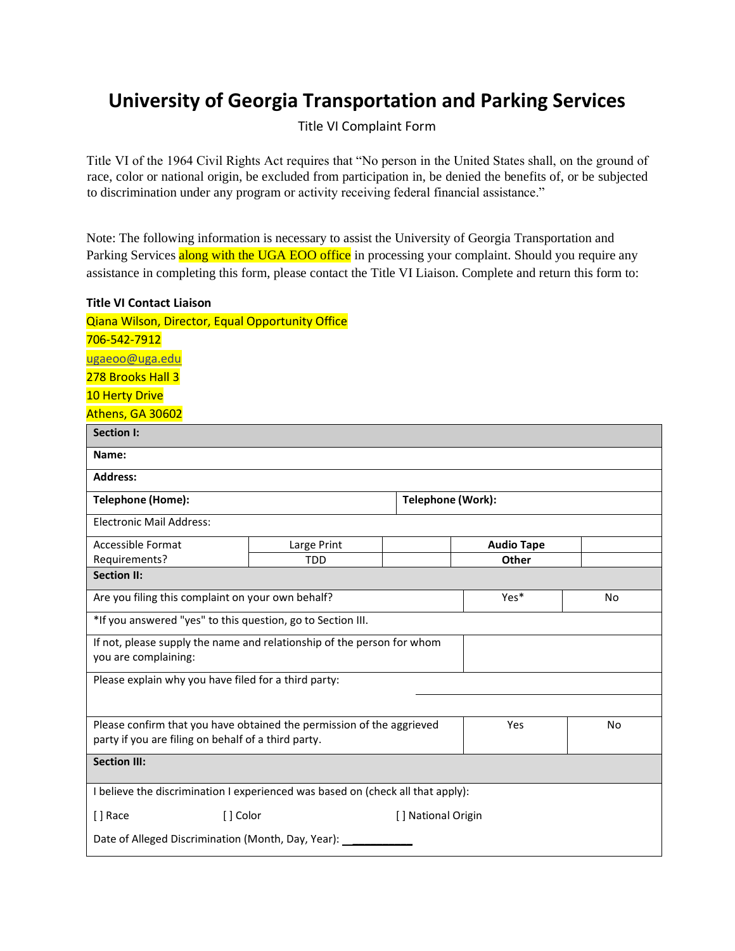## **University of Georgia Transportation and Parking Services**

Title VI Complaint Form

Title VI of the 1964 Civil Rights Act requires that "No person in the United States shall, on the ground of race, color or national origin, be excluded from participation in, be denied the benefits of, or be subjected to discrimination under any program or activity receiving federal financial assistance."

Note: The following information is necessary to assist the University of Georgia Transportation and Parking Services along with the UGA EOO office in processing your complaint. Should you require any assistance in completing this form, please contact the Title VI Liaison. Complete and return this form to:

## **Title VI Contact Liaison**

Qiana Wilson, Director, Equal Opportunity Office

| 706-542-7912                                                                                                                 |             |                    |                   |           |  |
|------------------------------------------------------------------------------------------------------------------------------|-------------|--------------------|-------------------|-----------|--|
| ugaeoo@uga.edu                                                                                                               |             |                    |                   |           |  |
| 278 Brooks Hall 3                                                                                                            |             |                    |                   |           |  |
| <b>10 Herty Drive</b>                                                                                                        |             |                    |                   |           |  |
| Athens, GA 30602                                                                                                             |             |                    |                   |           |  |
| <b>Section I:</b>                                                                                                            |             |                    |                   |           |  |
| Name:                                                                                                                        |             |                    |                   |           |  |
| <b>Address:</b>                                                                                                              |             |                    |                   |           |  |
| Telephone (Home):                                                                                                            |             | Telephone (Work):  |                   |           |  |
| <b>Electronic Mail Address:</b>                                                                                              |             |                    |                   |           |  |
| Accessible Format                                                                                                            | Large Print |                    | <b>Audio Tape</b> |           |  |
| Requirements?                                                                                                                | <b>TDD</b>  |                    | Other             |           |  |
| <b>Section II:</b>                                                                                                           |             |                    |                   |           |  |
| Are you filing this complaint on your own behalf?                                                                            |             |                    | Yes*              | No        |  |
| *If you answered "yes" to this question, go to Section III.                                                                  |             |                    |                   |           |  |
| If not, please supply the name and relationship of the person for whom<br>you are complaining:                               |             |                    |                   |           |  |
| Please explain why you have filed for a third party:                                                                         |             |                    |                   |           |  |
|                                                                                                                              |             |                    |                   |           |  |
| Please confirm that you have obtained the permission of the aggrieved<br>party if you are filing on behalf of a third party. |             |                    | Yes               | <b>No</b> |  |
| <b>Section III:</b>                                                                                                          |             |                    |                   |           |  |
| I believe the discrimination I experienced was based on (check all that apply):                                              |             |                    |                   |           |  |
| [] Race<br>[] Color                                                                                                          |             | [] National Origin |                   |           |  |
| Date of Alleged Discrimination (Month, Day, Year):                                                                           |             |                    |                   |           |  |